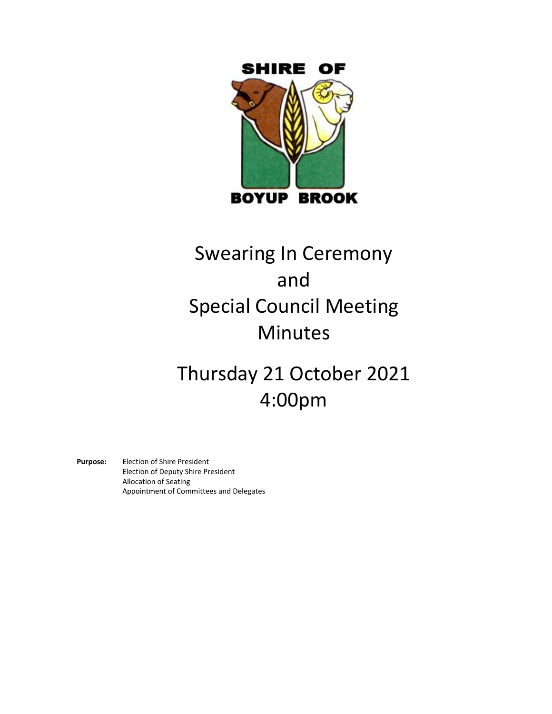

# Swearing In Ceremony and Special Council Meeting Minutes

Thursday 21 October 2021 4:00pm

**Purpose:** Election of Shire President Election of Deputy Shire President Allocation of Seating Appointment of Committees and Delegates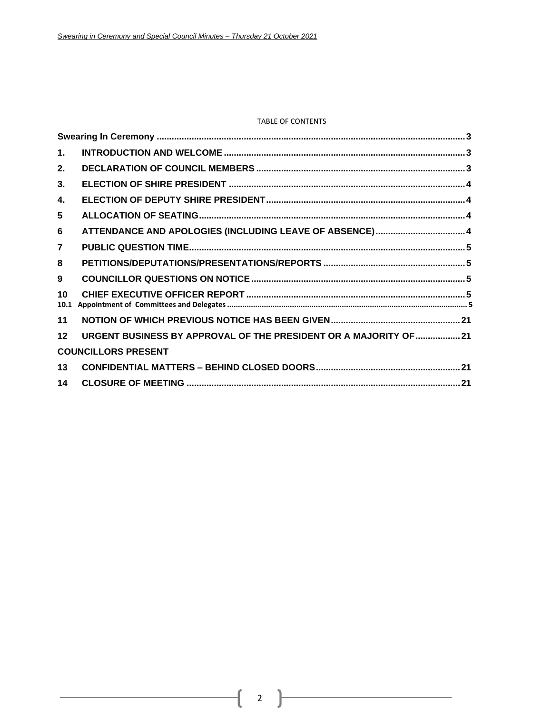### TABLE OF CONTENTS

| $\mathbf{1}$ . |                                                                   |  |
|----------------|-------------------------------------------------------------------|--|
| 2.             |                                                                   |  |
| 3.             |                                                                   |  |
| 4.             |                                                                   |  |
| 5              |                                                                   |  |
| 6              |                                                                   |  |
| $\overline{7}$ |                                                                   |  |
| 8              |                                                                   |  |
| 9              |                                                                   |  |
| 10<br>10.1     |                                                                   |  |
| 11             |                                                                   |  |
| 12             | URGENT BUSINESS BY APPROVAL OF THE PRESIDENT OR A MAJORITY OF  21 |  |
|                | <b>COUNCILLORS PRESENT</b>                                        |  |
| 13             |                                                                   |  |
| 14             |                                                                   |  |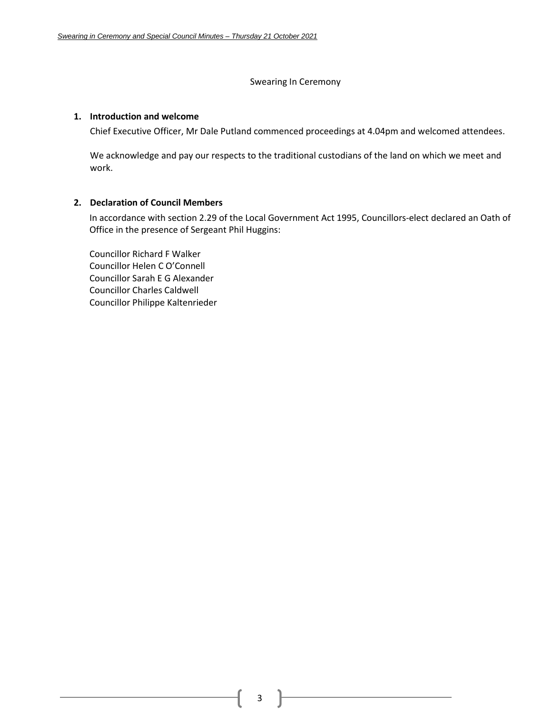#### Swearing In Ceremony

### <span id="page-2-1"></span><span id="page-2-0"></span>**1. Introduction and welcome**

Chief Executive Officer, Mr Dale Putland commenced proceedings at 4.04pm and welcomed attendees.

We acknowledge and pay our respects to the traditional custodians of the land on which we meet and work.

### <span id="page-2-2"></span>**2. Declaration of Council Members**

In accordance with section 2.29 of the Local Government Act 1995, Councillors-elect declared an Oath of Office in the presence of Sergeant Phil Huggins:

Councillor Richard F Walker Councillor Helen C O'Connell Councillor Sarah E G Alexander Councillor Charles Caldwell Councillor Philippe Kaltenrieder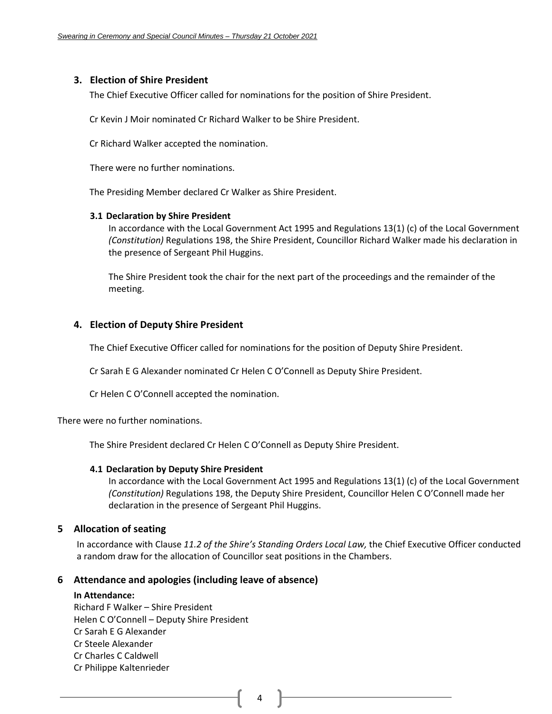### <span id="page-3-0"></span>**3. Election of Shire President**

The Chief Executive Officer called for nominations for the position of Shire President.

Cr Kevin J Moir nominated Cr Richard Walker to be Shire President.

Cr Richard Walker accepted the nomination.

There were no further nominations.

The Presiding Member declared Cr Walker as Shire President.

### **3.1 Declaration by Shire President**

In accordance with the Local Government Act 1995 and Regulations 13(1) (c) of the Local Government *(Constitution)* Regulations 198, the Shire President, Councillor Richard Walker made his declaration in the presence of Sergeant Phil Huggins.

The Shire President took the chair for the next part of the proceedings and the remainder of the meeting.

### <span id="page-3-1"></span>**4. Election of Deputy Shire President**

The Chief Executive Officer called for nominations for the position of Deputy Shire President.

Cr Sarah E G Alexander nominated Cr Helen C O'Connell as Deputy Shire President.

Cr Helen C O'Connell accepted the nomination.

There were no further nominations.

The Shire President declared Cr Helen C O'Connell as Deputy Shire President.

### **4.1 Declaration by Deputy Shire President**

In accordance with the Local Government Act 1995 and Regulations 13(1) (c) of the Local Government *(Constitution)* Regulations 198, the Deputy Shire President, Councillor Helen C O'Connell made her declaration in the presence of Sergeant Phil Huggins.

### <span id="page-3-2"></span>**5 Allocation of seating**

In accordance with Clause *11.2 of the Shire's Standing Orders Local Law,* the Chief Executive Officer conducted a random draw for the allocation of Councillor seat positions in the Chambers.

### <span id="page-3-3"></span>**6 Attendance and apologies (including leave of absence)**

### **In Attendance:**

Richard F Walker – Shire President Helen C O'Connell – Deputy Shire President Cr Sarah E G Alexander Cr Steele Alexander Cr Charles C Caldwell Cr Philippe Kaltenrieder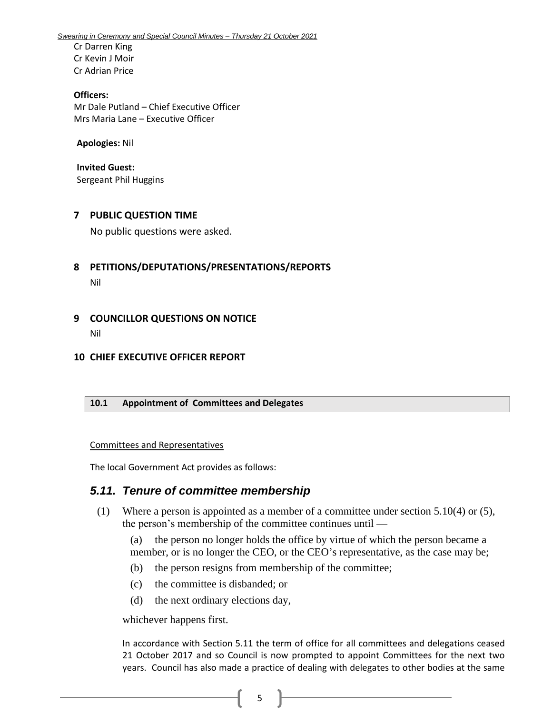Cr Darren King Cr Kevin J Moir Cr Adrian Price

**Officers:**  Mr Dale Putland – Chief Executive Officer Mrs Maria Lane – Executive Officer

**Apologies:** Nil

**Invited Guest:** Sergeant Phil Huggins

### <span id="page-4-0"></span>**7 PUBLIC QUESTION TIME**

No public questions were asked.

- <span id="page-4-1"></span>**8 PETITIONS/DEPUTATIONS/PRESENTATIONS/REPORTS** Nil
- <span id="page-4-2"></span>**9 COUNCILLOR QUESTIONS ON NOTICE** Nil

### <span id="page-4-3"></span>**10 CHIEF EXECUTIVE OFFICER REPORT**

### <span id="page-4-4"></span>**10.1 Appointment of Committees and Delegates**

Committees and Representatives

The local Government Act provides as follows:

# *5.11. Tenure of committee membership*

(1) Where a person is appointed as a member of a committee under section 5.10(4) or (5), the person's membership of the committee continues until —

(a) the person no longer holds the office by virtue of which the person became a member, or is no longer the CEO, or the CEO's representative, as the case may be;

- (b) the person resigns from membership of the committee;
- (c) the committee is disbanded; or
- (d) the next ordinary elections day,

whichever happens first.

In accordance with Section 5.11 the term of office for all committees and delegations ceased 21 October 2017 and so Council is now prompted to appoint Committees for the next two years. Council has also made a practice of dealing with delegates to other bodies at the same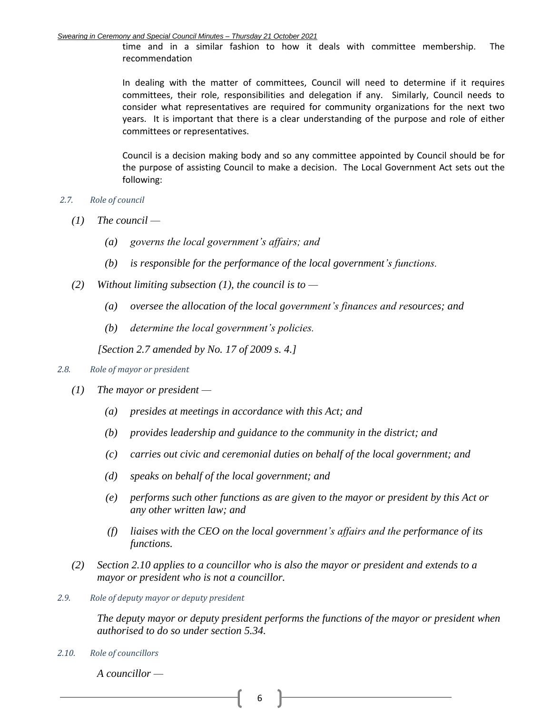time and in a similar fashion to how it deals with committee membership. The recommendation

In dealing with the matter of committees, Council will need to determine if it requires committees, their role, responsibilities and delegation if any. Similarly, Council needs to consider what representatives are required for community organizations for the next two years. It is important that there is a clear understanding of the purpose and role of either committees or representatives.

Council is a decision making body and so any committee appointed by Council should be for the purpose of assisting Council to make a decision. The Local Government Act sets out the following:

- *2.7. Role of council* 
	- *(1) The council —*
		- *(a) governs the local government's affairs; and*
		- *(b) is responsible for the performance of the local government's functions.*
	- *(2) Without limiting subsection (1), the council is to —*
		- *(a) oversee the allocation of the local government's finances and resources; and*
		- *(b) determine the local government's policies.*

*[Section 2.7 amended by No. 17 of 2009 s. 4.]*

### *2.8. Role of mayor or president*

- *(1) The mayor or president —*
	- *(a) presides at meetings in accordance with this Act; and*
	- *(b) provides leadership and guidance to the community in the district; and*
	- *(c) carries out civic and ceremonial duties on behalf of the local government; and*
	- *(d) speaks on behalf of the local government; and*
	- *(e) performs such other functions as are given to the mayor or president by this Act or any other written law; and*
	- *(f) liaises with the CEO on the local government's affairs and the performance of its functions.*
- *(2) Section 2.10 applies to a councillor who is also the mayor or president and extends to a mayor or president who is not a councillor.*
- *2.9. Role of deputy mayor or deputy president*

*The deputy mayor or deputy president performs the functions of the mayor or president when authorised to do so under section 5.34.*

*2.10. Role of councillors* 

*A councillor —*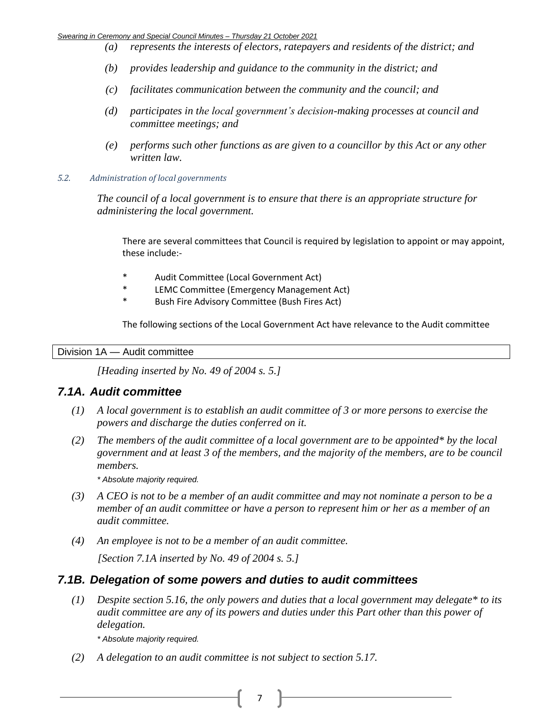- *(a) represents the interests of electors, ratepayers and residents of the district; and*
- *(b) provides leadership and guidance to the community in the district; and*
- *(c) facilitates communication between the community and the council; and*
- *(d) participates in the local government's decision-making processes at council and committee meetings; and*
- *(e) performs such other functions as are given to a councillor by this Act or any other written law.*
- *5.2. Administration of local governments*

*The council of a local government is to ensure that there is an appropriate structure for administering the local government.*

There are several committees that Council is required by legislation to appoint or may appoint, these include:-

- \* Audit Committee (Local Government Act)
- \* LEMC Committee (Emergency Management Act)
- Bush Fire Advisory Committee (Bush Fires Act)

The following sections of the Local Government Act have relevance to the Audit committee

Division 1A — Audit committee

*[Heading inserted by No. 49 of 2004 s. 5.]*

# *7.1A. Audit committee*

- *(1) A local government is to establish an audit committee of 3 or more persons to exercise the powers and discharge the duties conferred on it.*
- *(2) The members of the audit committee of a local government are to be appointed\* by the local government and at least 3 of the members, and the majority of the members, are to be council members.*

*\* Absolute majority required.*

- *(3) A CEO is not to be a member of an audit committee and may not nominate a person to be a member of an audit committee or have a person to represent him or her as a member of an audit committee.*
- *(4) An employee is not to be a member of an audit committee. [Section 7.1A inserted by No. 49 of 2004 s. 5.]*

# *7.1B. Delegation of some powers and duties to audit committees*

*(1) Despite section 5.16, the only powers and duties that a local government may delegate\* to its audit committee are any of its powers and duties under this Part other than this power of delegation.*

*\* Absolute majority required.*

*(2) A delegation to an audit committee is not subject to section 5.17.*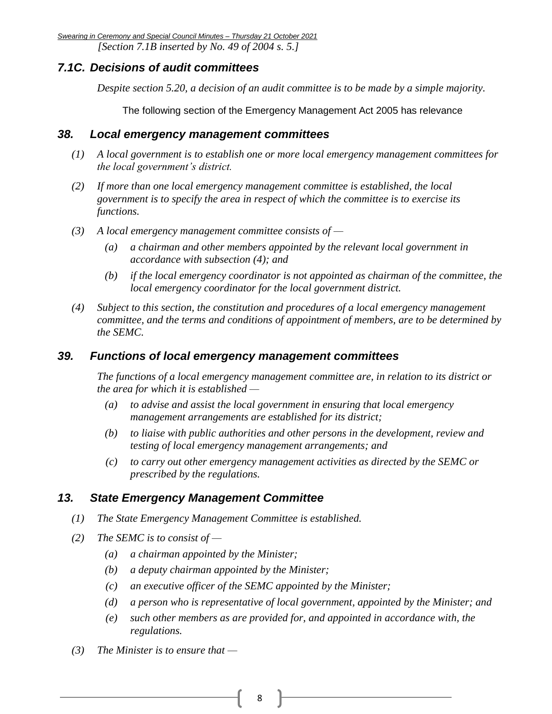*Swearing in Ceremony and Special Council Minutes – Thursday 21 October 2021 [Section 7.1B inserted by No. 49 of 2004 s. 5.]*

# *7.1C. Decisions of audit committees*

*Despite section 5.20, a decision of an audit committee is to be made by a simple majority.*

The following section of the Emergency Management Act 2005 has relevance

### *38. Local emergency management committees*

- *(1) A local government is to establish one or more local emergency management committees for the local government's district.*
- *(2) If more than one local emergency management committee is established, the local government is to specify the area in respect of which the committee is to exercise its functions.*
- *(3) A local emergency management committee consists of —*
	- *(a) a chairman and other members appointed by the relevant local government in accordance with subsection (4); and*
	- *(b) if the local emergency coordinator is not appointed as chairman of the committee, the local emergency coordinator for the local government district.*
- *(4) Subject to this section, the constitution and procedures of a local emergency management committee, and the terms and conditions of appointment of members, are to be determined by the SEMC.*

### *39. Functions of local emergency management committees*

*The functions of a local emergency management committee are, in relation to its district or the area for which it is established —*

- *(a) to advise and assist the local government in ensuring that local emergency management arrangements are established for its district;*
- *(b) to liaise with public authorities and other persons in the development, review and testing of local emergency management arrangements; and*
- *(c) to carry out other emergency management activities as directed by the SEMC or prescribed by the regulations.*

# *13. State Emergency Management Committee*

- *(1) The State Emergency Management Committee is established.*
- *(2) The SEMC is to consist of —*
	- *(a) a chairman appointed by the Minister;*
	- *(b) a deputy chairman appointed by the Minister;*
	- *(c) an executive officer of the SEMC appointed by the Minister;*
	- *(d) a person who is representative of local government, appointed by the Minister; and*
	- *(e) such other members as are provided for, and appointed in accordance with, the regulations.*
- *(3) The Minister is to ensure that —*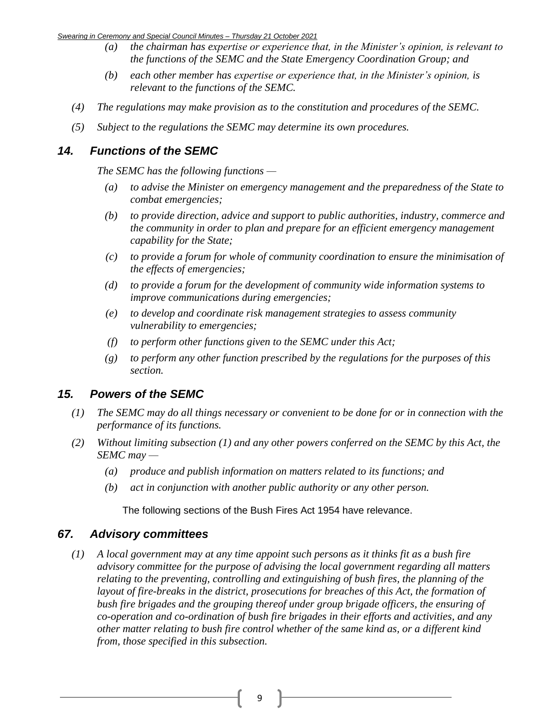- *(a) the chairman has expertise or experience that, in the Minister's opinion, is relevant to the functions of the SEMC and the State Emergency Coordination Group; and*
- *(b) each other member has expertise or experience that, in the Minister's opinion, is relevant to the functions of the SEMC.*
- *(4) The regulations may make provision as to the constitution and procedures of the SEMC.*
- *(5) Subject to the regulations the SEMC may determine its own procedures.*

# *14. Functions of the SEMC*

*The SEMC has the following functions —*

- *(a) to advise the Minister on emergency management and the preparedness of the State to combat emergencies;*
- *(b) to provide direction, advice and support to public authorities, industry, commerce and the community in order to plan and prepare for an efficient emergency management capability for the State;*
- *(c) to provide a forum for whole of community coordination to ensure the minimisation of the effects of emergencies;*
- *(d) to provide a forum for the development of community wide information systems to improve communications during emergencies;*
- *(e) to develop and coordinate risk management strategies to assess community vulnerability to emergencies;*
- *(f) to perform other functions given to the SEMC under this Act;*
- *(g) to perform any other function prescribed by the regulations for the purposes of this section.*

# *15. Powers of the SEMC*

- *(1) The SEMC may do all things necessary or convenient to be done for or in connection with the performance of its functions.*
- *(2) Without limiting subsection (1) and any other powers conferred on the SEMC by this Act, the SEMC may —*
	- *(a) produce and publish information on matters related to its functions; and*
	- *(b) act in conjunction with another public authority or any other person.*

The following sections of the Bush Fires Act 1954 have relevance.

# *67. Advisory committees*

*(1) A local government may at any time appoint such persons as it thinks fit as a bush fire advisory committee for the purpose of advising the local government regarding all matters relating to the preventing, controlling and extinguishing of bush fires, the planning of the layout of fire-breaks in the district, prosecutions for breaches of this Act, the formation of bush fire brigades and the grouping thereof under group brigade officers, the ensuring of co-operation and co-ordination of bush fire brigades in their efforts and activities, and any other matter relating to bush fire control whether of the same kind as, or a different kind from, those specified in this subsection.*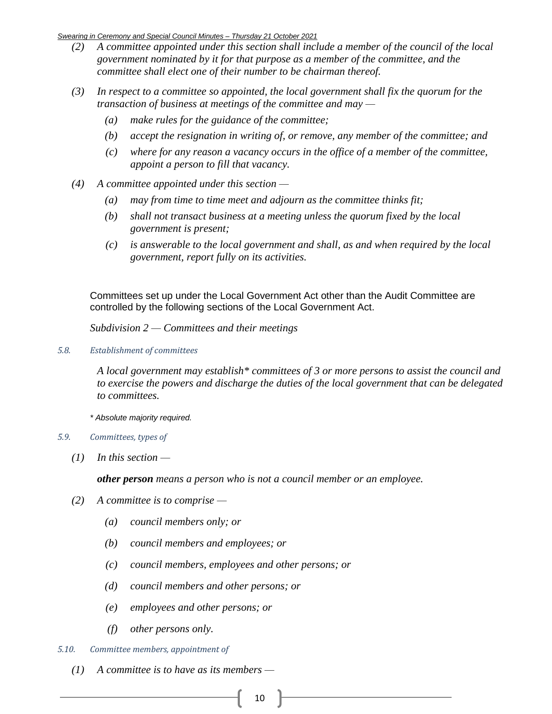- *(2) A committee appointed under this section shall include a member of the council of the local government nominated by it for that purpose as a member of the committee, and the committee shall elect one of their number to be chairman thereof.*
- *(3) In respect to a committee so appointed, the local government shall fix the quorum for the transaction of business at meetings of the committee and may —*
	- *(a) make rules for the guidance of the committee;*
	- *(b) accept the resignation in writing of, or remove, any member of the committee; and*
	- *(c) where for any reason a vacancy occurs in the office of a member of the committee, appoint a person to fill that vacancy.*
- *(4) A committee appointed under this section —*
	- *(a) may from time to time meet and adjourn as the committee thinks fit;*
	- *(b) shall not transact business at a meeting unless the quorum fixed by the local government is present;*
	- *(c) is answerable to the local government and shall, as and when required by the local government, report fully on its activities.*

Committees set up under the Local Government Act other than the Audit Committee are controlled by the following sections of the Local Government Act.

*Subdivision 2 — Committees and their meetings*

*5.8. Establishment of committees*

*A local government may establish\* committees of 3 or more persons to assist the council and to exercise the powers and discharge the duties of the local government that can be delegated to committees.*

*\* Absolute majority required.*

- *5.9. Committees, types of*
	- *(1) In this section —*

*other person means a person who is not a council member or an employee.*

- *(2) A committee is to comprise —*
	- *(a) council members only; or*
	- *(b) council members and employees; or*
	- *(c) council members, employees and other persons; or*
	- *(d) council members and other persons; or*
	- *(e) employees and other persons; or*
	- *(f) other persons only.*
- *5.10. Committee members, appointment of* 
	- *(1) A committee is to have as its members —*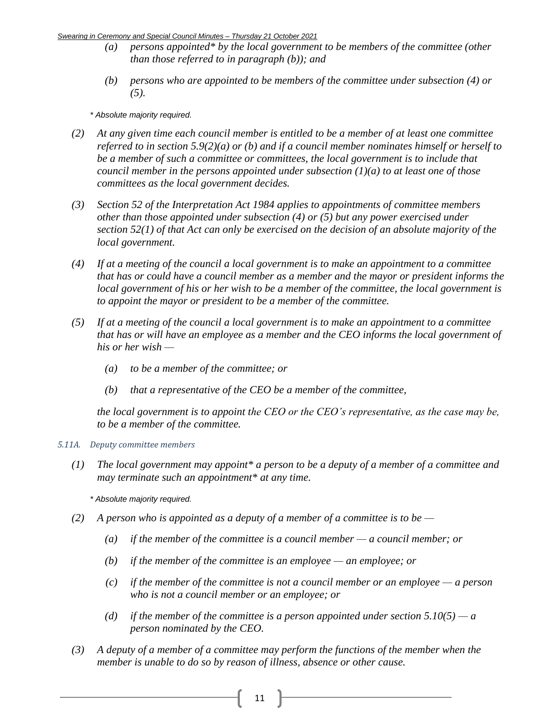- *(a) persons appointed\* by the local government to be members of the committee (other than those referred to in paragraph (b)); and*
- *(b) persons who are appointed to be members of the committee under subsection (4) or (5).*

*\* Absolute majority required.*

- *(2) At any given time each council member is entitled to be a member of at least one committee referred to in section 5.9(2)(a) or (b) and if a council member nominates himself or herself to be a member of such a committee or committees, the local government is to include that council member in the persons appointed under subsection (1)(a) to at least one of those committees as the local government decides.*
- *(3) Section 52 of the Interpretation Act 1984 applies to appointments of committee members other than those appointed under subsection (4) or (5) but any power exercised under section 52(1) of that Act can only be exercised on the decision of an absolute majority of the local government.*
- *(4) If at a meeting of the council a local government is to make an appointment to a committee that has or could have a council member as a member and the mayor or president informs the local government of his or her wish to be a member of the committee, the local government is to appoint the mayor or president to be a member of the committee.*
- *(5) If at a meeting of the council a local government is to make an appointment to a committee that has or will have an employee as a member and the CEO informs the local government of his or her wish —*
	- *(a) to be a member of the committee; or*
	- *(b) that a representative of the CEO be a member of the committee,*

*the local government is to appoint the CEO or the CEO's representative, as the case may be, to be a member of the committee.*

### *5.11A. Deputy committee members*

*(1) The local government may appoint\* a person to be a deputy of a member of a committee and may terminate such an appointment\* at any time.*

*\* Absolute majority required.*

- *(2) A person who is appointed as a deputy of a member of a committee is to be —*
	- *(a) if the member of the committee is a council member — a council member; or*
	- *(b) if the member of the committee is an employee — an employee; or*
	- *(c) if the member of the committee is not a council member or an employee — a person who is not a council member or an employee; or*
	- *(d) if the member of the committee is a person appointed under section*  $5.10(5)$  *a person nominated by the CEO.*
- *(3) A deputy of a member of a committee may perform the functions of the member when the member is unable to do so by reason of illness, absence or other cause.*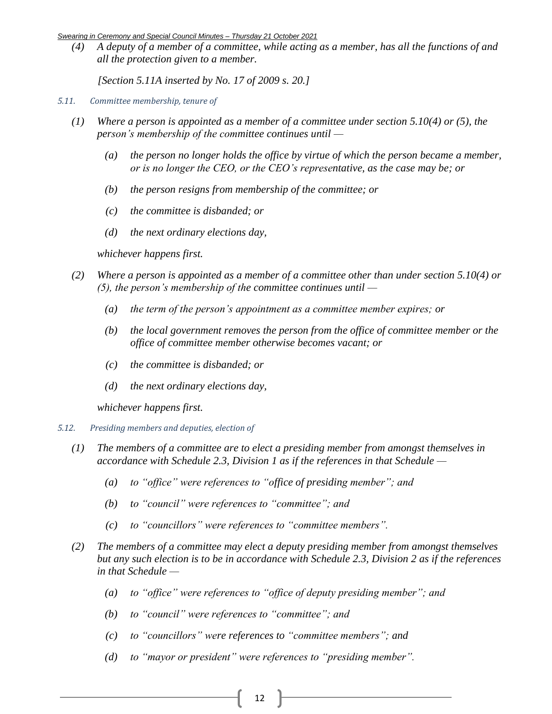*(4) A deputy of a member of a committee, while acting as a member, has all the functions of and all the protection given to a member.*

*[Section 5.11A inserted by No. 17 of 2009 s. 20.]*

- *5.11. Committee membership, tenure of*
	- *(1) Where a person is appointed as a member of a committee under section 5.10(4) or (5), the person's membership of the committee continues until —*
		- *(a) the person no longer holds the office by virtue of which the person became a member, or is no longer the CEO, or the CEO's representative, as the case may be; or*
		- *(b) the person resigns from membership of the committee; or*
		- *(c) the committee is disbanded; or*
		- *(d) the next ordinary elections day,*

*whichever happens first.*

- *(2) Where a person is appointed as a member of a committee other than under section 5.10(4) or (5), the person's membership of the committee continues until —*
	- *(a) the term of the person's appointment as a committee member expires; or*
	- *(b) the local government removes the person from the office of committee member or the office of committee member otherwise becomes vacant; or*
	- *(c) the committee is disbanded; or*
	- *(d) the next ordinary elections day,*

*whichever happens first.*

- *5.12. Presiding members and deputies, election of*
	- *(1) The members of a committee are to elect a presiding member from amongst themselves in accordance with Schedule 2.3, Division 1 as if the references in that Schedule —*
		- *(a) to "office" were references to "office of presiding member"; and*
		- *(b) to "council" were references to "committee"; and*
		- *(c) to "councillors" were references to "committee members".*
	- *(2) The members of a committee may elect a deputy presiding member from amongst themselves but any such election is to be in accordance with Schedule 2.3, Division 2 as if the references in that Schedule —*
		- *(a) to "office" were references to "office of deputy presiding member"; and*
		- *(b) to "council" were references to "committee"; and*
		- *(c) to "councillors" were references to "committee members"; and*
		- *(d) to "mayor or president" were references to "presiding member".*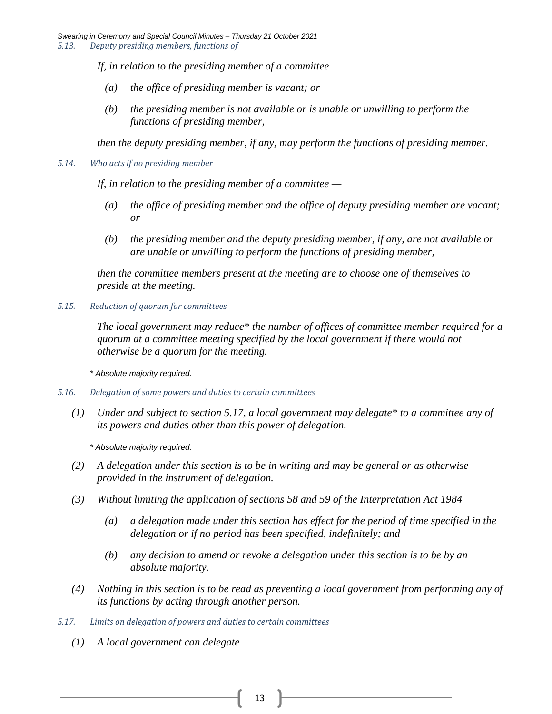*5.13. Deputy presiding members, functions of*

*If, in relation to the presiding member of a committee —*

- *(a) the office of presiding member is vacant; or*
- *(b) the presiding member is not available or is unable or unwilling to perform the functions of presiding member,*

*then the deputy presiding member, if any, may perform the functions of presiding member.*

*5.14. Who acts if no presiding member*

*If, in relation to the presiding member of a committee —*

- *(a) the office of presiding member and the office of deputy presiding member are vacant; or*
- *(b) the presiding member and the deputy presiding member, if any, are not available or are unable or unwilling to perform the functions of presiding member,*

*then the committee members present at the meeting are to choose one of themselves to preside at the meeting.*

*5.15. Reduction of quorum for committees*

*The local government may reduce\* the number of offices of committee member required for a quorum at a committee meeting specified by the local government if there would not otherwise be a quorum for the meeting.*

*\* Absolute majority required.*

- *5.16. Delegation of some powers and duties to certain committees*
	- *(1) Under and subject to section 5.17, a local government may delegate\* to a committee any of its powers and duties other than this power of delegation.*

*\* Absolute majority required.*

- *(2) A delegation under this section is to be in writing and may be general or as otherwise provided in the instrument of delegation.*
- *(3) Without limiting the application of sections 58 and 59 of the Interpretation Act 1984 —*
	- *(a) a delegation made under this section has effect for the period of time specified in the delegation or if no period has been specified, indefinitely; and*
	- *(b) any decision to amend or revoke a delegation under this section is to be by an absolute majority.*
- *(4) Nothing in this section is to be read as preventing a local government from performing any of its functions by acting through another person.*
- *5.17. Limits on delegation of powers and duties to certain committees*
	- *(1) A local government can delegate —*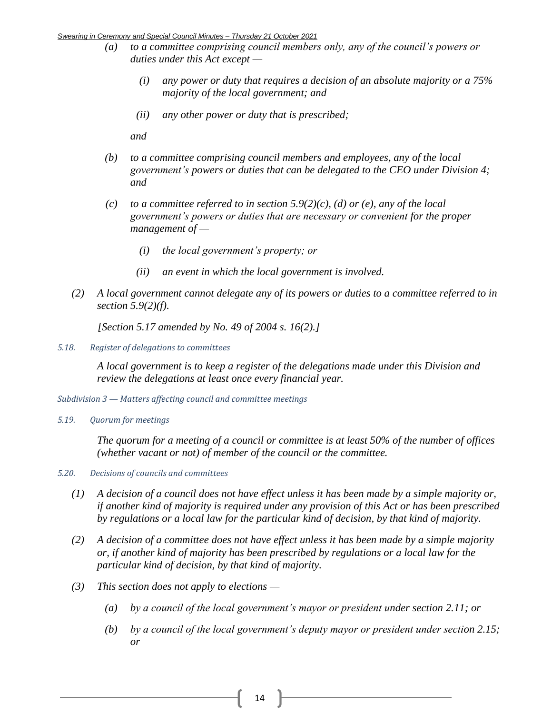- *(a) to a committee comprising council members only, any of the council's powers or duties under this Act except —*
	- *(i) any power or duty that requires a decision of an absolute majority or a 75% majority of the local government; and*
	- *(ii) any other power or duty that is prescribed;*

*and*

- *(b) to a committee comprising council members and employees, any of the local government's powers or duties that can be delegated to the CEO under Division 4; and*
- *(c) to a committee referred to in section 5.9(2)(c), (d) or (e), any of the local government's powers or duties that are necessary or convenient for the proper management of —*
	- *(i) the local government's property; or*
	- *(ii) an event in which the local government is involved.*
- *(2) A local government cannot delegate any of its powers or duties to a committee referred to in section 5.9(2)(f).*

*[Section 5.17 amended by No. 49 of 2004 s. 16(2).]*

*5.18. Register of delegations to committees*

*A local government is to keep a register of the delegations made under this Division and review the delegations at least once every financial year.*

*Subdivision 3 — Matters affecting council and committee meetings*

*5.19. Quorum for meetings*

*The quorum for a meeting of a council or committee is at least 50% of the number of offices (whether vacant or not) of member of the council or the committee.* 

- *5.20. Decisions of councils and committees*
	- *(1) A decision of a council does not have effect unless it has been made by a simple majority or, if another kind of majority is required under any provision of this Act or has been prescribed by regulations or a local law for the particular kind of decision, by that kind of majority.*
	- *(2) A decision of a committee does not have effect unless it has been made by a simple majority or, if another kind of majority has been prescribed by regulations or a local law for the particular kind of decision, by that kind of majority.*
	- *(3) This section does not apply to elections —*
		- *(a) by a council of the local government's mayor or president under section 2.11; or*
		- *(b) by a council of the local government's deputy mayor or president under section 2.15; or*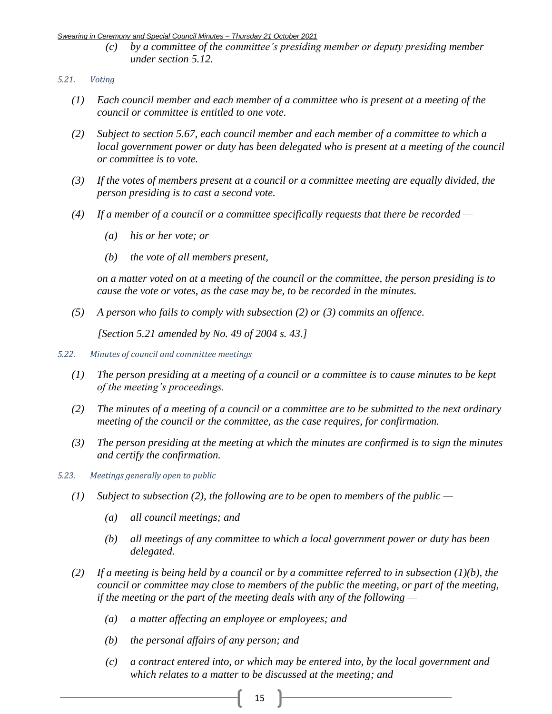*(c) by a committee of the committee's presiding member or deputy presiding member under section 5.12.*

### *5.21. Voting*

- *(1) Each council member and each member of a committee who is present at a meeting of the council or committee is entitled to one vote.*
- *(2) Subject to section 5.67, each council member and each member of a committee to which a local government power or duty has been delegated who is present at a meeting of the council or committee is to vote.*
- *(3) If the votes of members present at a council or a committee meeting are equally divided, the person presiding is to cast a second vote.*
- *(4) If a member of a council or a committee specifically requests that there be recorded —*
	- *(a) his or her vote; or*
	- *(b) the vote of all members present,*

*on a matter voted on at a meeting of the council or the committee, the person presiding is to cause the vote or votes, as the case may be, to be recorded in the minutes.*

*(5) A person who fails to comply with subsection (2) or (3) commits an offence.*

*[Section 5.21 amended by No. 49 of 2004 s. 43.]*

- *5.22. Minutes of council and committee meetings*
	- *(1) The person presiding at a meeting of a council or a committee is to cause minutes to be kept of the meeting's proceedings.*
	- *(2) The minutes of a meeting of a council or a committee are to be submitted to the next ordinary meeting of the council or the committee, as the case requires, for confirmation.*
	- *(3) The person presiding at the meeting at which the minutes are confirmed is to sign the minutes and certify the confirmation.*
- *5.23. Meetings generally open to public*
	- *(1) Subject to subsection (2), the following are to be open to members of the public —*
		- *(a) all council meetings; and*
		- *(b) all meetings of any committee to which a local government power or duty has been delegated.*
	- *(2) If a meeting is being held by a council or by a committee referred to in subsection (1)(b), the council or committee may close to members of the public the meeting, or part of the meeting, if the meeting or the part of the meeting deals with any of the following —*
		- *(a) a matter affecting an employee or employees; and*
		- *(b) the personal affairs of any person; and*
		- *(c) a contract entered into, or which may be entered into, by the local government and which relates to a matter to be discussed at the meeting; and*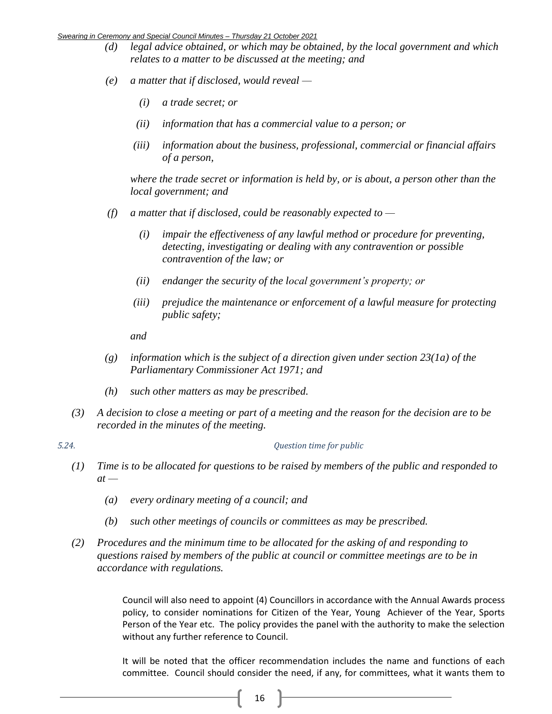- *(d) legal advice obtained, or which may be obtained, by the local government and which relates to a matter to be discussed at the meeting; and*
- *(e) a matter that if disclosed, would reveal —*
	- *(i) a trade secret; or*
	- *(ii) information that has a commercial value to a person; or*
	- *(iii) information about the business, professional, commercial or financial affairs of a person,*

*where the trade secret or information is held by, or is about, a person other than the local government; and*

- *(f) a matter that if disclosed, could be reasonably expected to —*
	- *(i) impair the effectiveness of any lawful method or procedure for preventing, detecting, investigating or dealing with any contravention or possible contravention of the law; or*
	- *(ii) endanger the security of the local government's property; or*
	- *(iii) prejudice the maintenance or enforcement of a lawful measure for protecting public safety;*

*and*

- *(g) information which is the subject of a direction given under section 23(1a) of the Parliamentary Commissioner Act 1971; and*
- *(h) such other matters as may be prescribed.*
- *(3) A decision to close a meeting or part of a meeting and the reason for the decision are to be recorded in the minutes of the meeting.*

### *5.24. Question time for public*

- *(1) Time is to be allocated for questions to be raised by members of the public and responded to*   $at -$ 
	- *(a) every ordinary meeting of a council; and*
	- *(b) such other meetings of councils or committees as may be prescribed.*
- *(2) Procedures and the minimum time to be allocated for the asking of and responding to questions raised by members of the public at council or committee meetings are to be in accordance with regulations.*

Council will also need to appoint (4) Councillors in accordance with the Annual Awards process policy, to consider nominations for Citizen of the Year, Young Achiever of the Year, Sports Person of the Year etc. The policy provides the panel with the authority to make the selection without any further reference to Council.

It will be noted that the officer recommendation includes the name and functions of each committee. Council should consider the need, if any, for committees, what it wants them to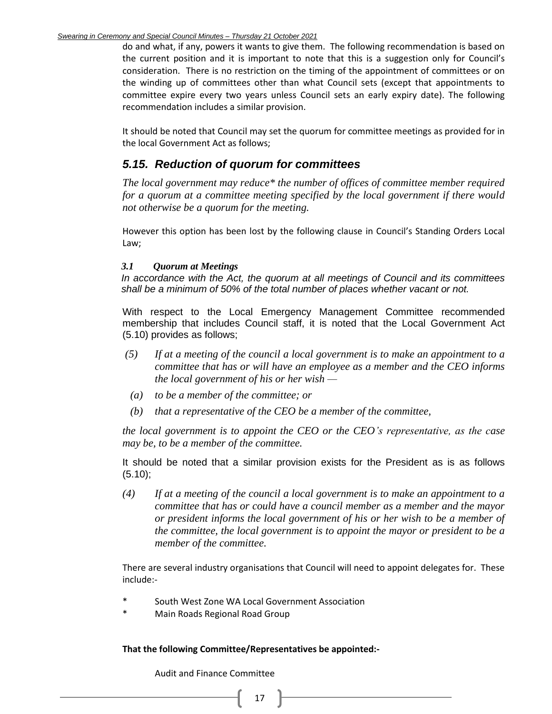do and what, if any, powers it wants to give them. The following recommendation is based on the current position and it is important to note that this is a suggestion only for Council's consideration. There is no restriction on the timing of the appointment of committees or on the winding up of committees other than what Council sets (except that appointments to committee expire every two years unless Council sets an early expiry date). The following recommendation includes a similar provision.

It should be noted that Council may set the quorum for committee meetings as provided for in the local Government Act as follows;

# *5.15. Reduction of quorum for committees*

*The local government may reduce\* the number of offices of committee member required for a quorum at a committee meeting specified by the local government if there would not otherwise be a quorum for the meeting.*

However this option has been lost by the following clause in Council's Standing Orders Local Law;

### *3.1 Quorum at Meetings*

*In accordance with the Act, the quorum at all meetings of Council and its committees shall be a minimum of 50% of the total number of places whether vacant or not.*

With respect to the Local Emergency Management Committee recommended membership that includes Council staff, it is noted that the Local Government Act (5.10) provides as follows;

- *(5) If at a meeting of the council a local government is to make an appointment to a committee that has or will have an employee as a member and the CEO informs the local government of his or her wish —*
- *(a) to be a member of the committee; or*
- *(b) that a representative of the CEO be a member of the committee,*

*the local government is to appoint the CEO or the CEO's representative, as the case may be, to be a member of the committee.*

It should be noted that a similar provision exists for the President as is as follows  $(5.10);$ 

*(4) If at a meeting of the council a local government is to make an appointment to a committee that has or could have a council member as a member and the mayor or president informs the local government of his or her wish to be a member of the committee, the local government is to appoint the mayor or president to be a member of the committee.* 

There are several industry organisations that Council will need to appoint delegates for. These include:-

- South West Zone WA Local Government Association
- Main Roads Regional Road Group

**That the following Committee/Representatives be appointed:-**

Audit and Finance Committee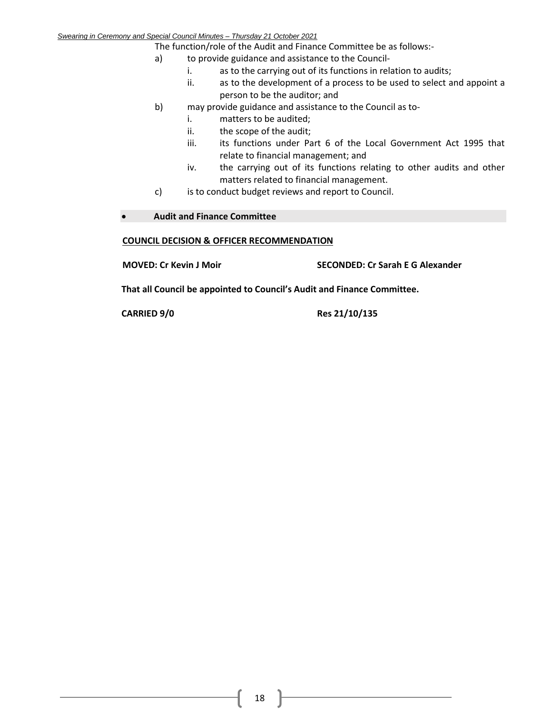The function/role of the Audit and Finance Committee be as follows:-

- a) to provide guidance and assistance to the Council
	- i. as to the carrying out of its functions in relation to audits;
	- ii. as to the development of a process to be used to select and appoint a person to be the auditor; and
- b) may provide guidance and assistance to the Council as to
	- i. matters to be audited;
	- ii. the scope of the audit;
	- iii. its functions under Part 6 of the Local Government Act 1995 that relate to financial management; and
	- iv. the carrying out of its functions relating to other audits and other matters related to financial management.
- c) is to conduct budget reviews and report to Council.

### • **Audit and Finance Committee**

### **COUNCIL DECISION & OFFICER RECOMMENDATION**

**MOVED: Cr Kevin J Moir SECONDED: Cr Sarah E G Alexander**

**That all Council be appointed to Council's Audit and Finance Committee.**

**CARRIED 9/0 Res 21/10/135**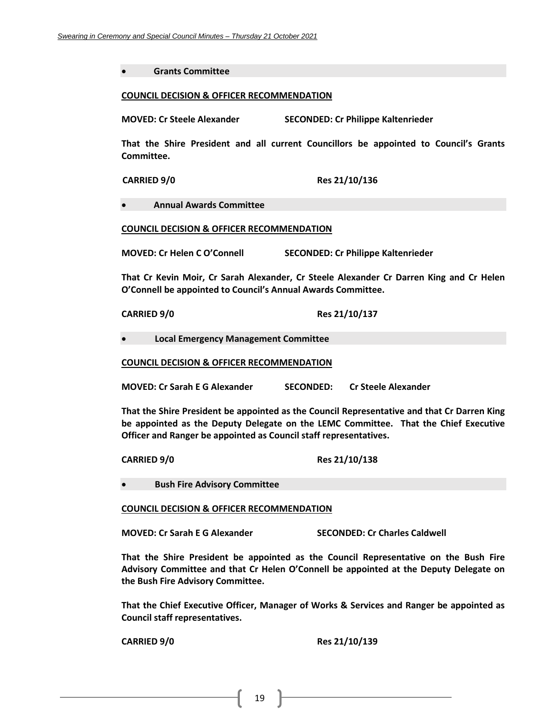• **Grants Committee**

#### **COUNCIL DECISION & OFFICER RECOMMENDATION**

**MOVED: Cr Steele Alexander SECONDED: Cr Philippe Kaltenrieder**

**That the Shire President and all current Councillors be appointed to Council's Grants Committee.**

**CARRIED 9/0 Res 21/10/136**

• **Annual Awards Committee**

**COUNCIL DECISION & OFFICER RECOMMENDATION**

**MOVED: Cr Helen C O'Connell SECONDED: Cr Philippe Kaltenrieder**

**That Cr Kevin Moir, Cr Sarah Alexander, Cr Steele Alexander Cr Darren King and Cr Helen O'Connell be appointed to Council's Annual Awards Committee.**

**CARRIED 9/0 Res 21/10/137**

• **Local Emergency Management Committee**

**COUNCIL DECISION & OFFICER RECOMMENDATION**

**MOVED: Cr Sarah E G Alexander SECONDED: Cr Steele Alexander**

**That the Shire President be appointed as the Council Representative and that Cr Darren King be appointed as the Deputy Delegate on the LEMC Committee. That the Chief Executive Officer and Ranger be appointed as Council staff representatives.** 

**CARRIED 9/0 Res 21/10/138**

• **Bush Fire Advisory Committee**

**COUNCIL DECISION & OFFICER RECOMMENDATION**

**MOVED: Cr Sarah E G Alexander SECONDED: Cr Charles Caldwell**

**That the Shire President be appointed as the Council Representative on the Bush Fire Advisory Committee and that Cr Helen O'Connell be appointed at the Deputy Delegate on the Bush Fire Advisory Committee.**

**That the Chief Executive Officer, Manager of Works & Services and Ranger be appointed as Council staff representatives.**

**CARRIED 9/0 Res 21/10/139**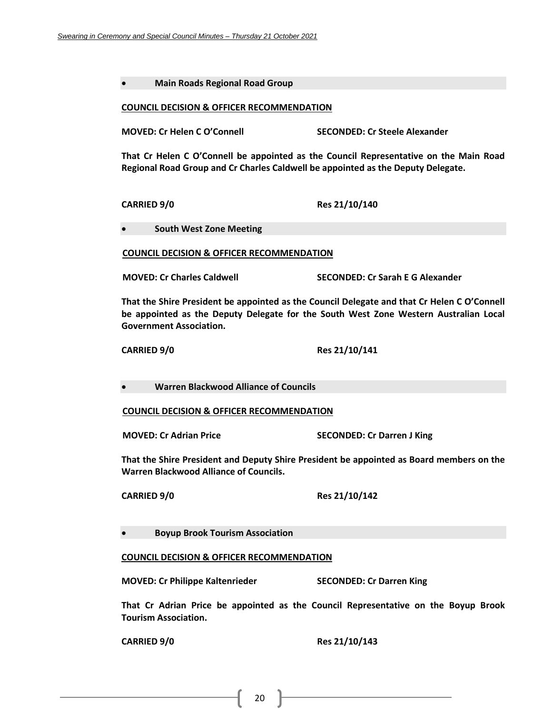|  | Main Roads Regional Road Group |
|--|--------------------------------|
|--|--------------------------------|

#### **COUNCIL DECISION & OFFICER RECOMMENDATION**

**MOVED: Cr Helen C O'Connell SECONDED: Cr Steele Alexander**

**That Cr Helen C O'Connell be appointed as the Council Representative on the Main Road Regional Road Group and Cr Charles Caldwell be appointed as the Deputy Delegate.**

**CARRIED 9/0 Res 21/10/140**

• **South West Zone Meeting**

**COUNCIL DECISION & OFFICER RECOMMENDATION**

**MOVED: Cr Charles Caldwell SECONDED: Cr Sarah E G Alexander**

**That the Shire President be appointed as the Council Delegate and that Cr Helen C O'Connell be appointed as the Deputy Delegate for the South West Zone Western Australian Local Government Association.**

**CARRIED 9/0 Res 21/10/141**

• **Warren Blackwood Alliance of Councils**

**COUNCIL DECISION & OFFICER RECOMMENDATION**

**MOVED: Cr Adrian Price SECONDED: Cr Darren J King**

**That the Shire President and Deputy Shire President be appointed as Board members on the Warren Blackwood Alliance of Councils.**

**CARRIED 9/0 Res 21/10/142**

• **Boyup Brook Tourism Association**

### **COUNCIL DECISION & OFFICER RECOMMENDATION**

**MOVED: Cr Philippe Kaltenrieder SECONDED: Cr Darren King**

**That Cr Adrian Price be appointed as the Council Representative on the Boyup Brook Tourism Association.**

**CARRIED 9/0 Res 21/10/143**